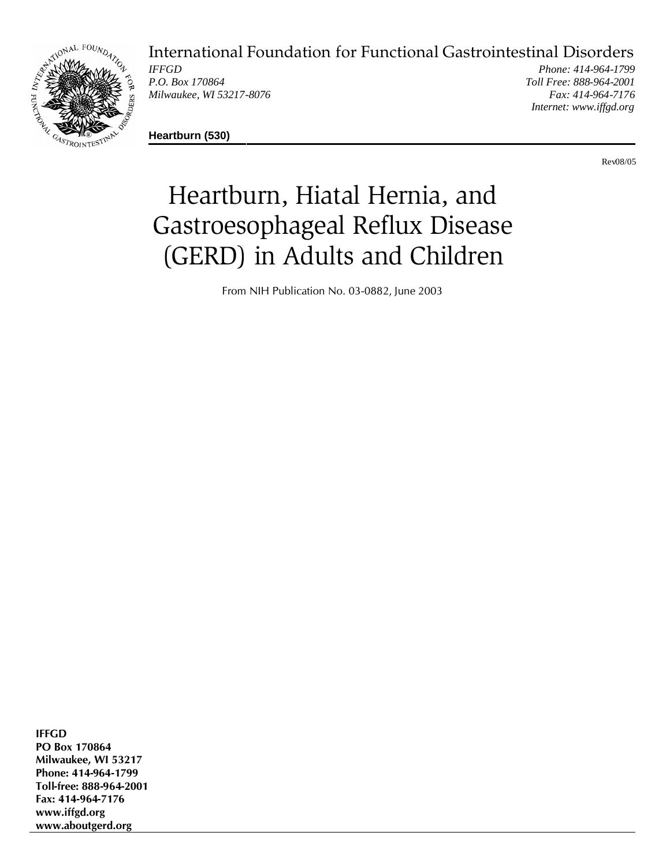

# International Foundation for Functional Gastrointestinal Disorders

*IFFGD P.O. Box 170864 Milwaukee, WI 53217-8076*

*Phone: 414-964-1799 Toll Free: 888-964-2001 Fax: 414-964-7176 Internet: www.iffgd.org*

**Heartburn (530)**

Rev08/05

# Heartburn, Hiatal Hernia, and Gastroesophageal Reflux Disease (GERD) in Adults and Children

From NIH Publication No. 03-0882, June 2003

**IFFGD PO Box 170864 Milwaukee, WI 53217 Phone: 414-964-1799 Toll-free: 888-964-2001 Fax: 414-964-7176 www.iffgd.org www.aboutgerd.org**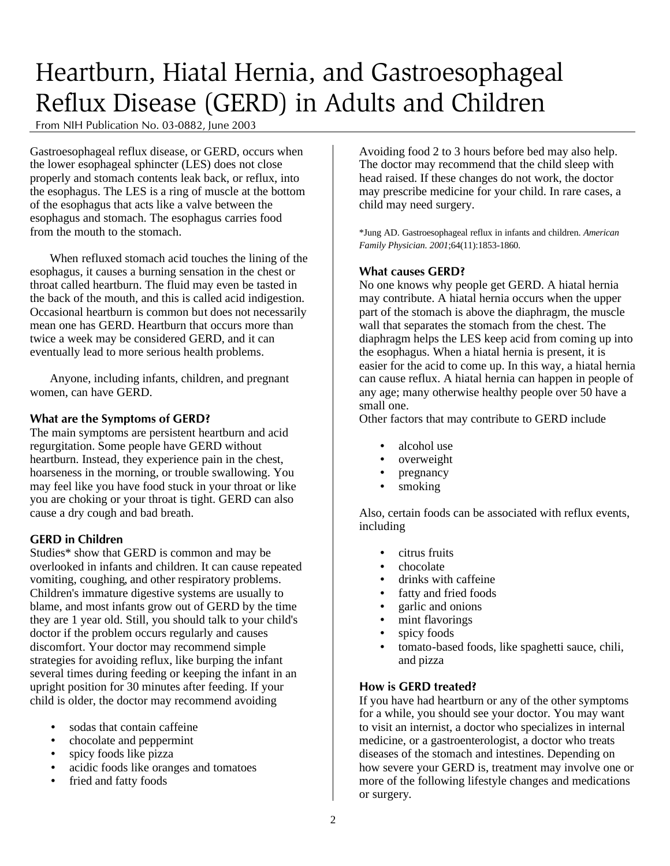# Heartburn, Hiatal Hernia, and Gastroesophageal Reflux Disease (GERD) in Adults and Children

From NIH Publication No. 03-0882, June 2003

Gastroesophageal reflux disease, or GERD, occurs when the lower esophageal sphincter (LES) does not close properly and stomach contents leak back, or reflux, into the esophagus. The LES is a ring of muscle at the bottom of the esophagus that acts like a valve between the esophagus and stomach. The esophagus carries food from the mouth to the stomach.

When refluxed stomach acid touches the lining of the esophagus, it causes a burning sensation in the chest or throat called heartburn. The fluid may even be tasted in the back of the mouth, and this is called acid indigestion. Occasional heartburn is common but does not necessarily mean one has GERD. Heartburn that occurs more than twice a week may be considered GERD, and it can eventually lead to more serious health problems.

Anyone, including infants, children, and pregnant women, can have GERD.

#### **What are the Symptoms of GERD?**

The main symptoms are persistent heartburn and acid regurgitation. Some people have GERD without heartburn. Instead, they experience pain in the chest, hoarseness in the morning, or trouble swallowing. You may feel like you have food stuck in your throat or like you are choking or your throat is tight. GERD can also cause a dry cough and bad breath.

#### **GERD in Children**

Studies\* show that GERD is common and may be overlooked in infants and children. It can cause repeated vomiting, coughing, and other respiratory problems. Children's immature digestive systems are usually to blame, and most infants grow out of GERD by the time they are 1 year old. Still, you should talk to your child's doctor if the problem occurs regularly and causes discomfort. Your doctor may recommend simple strategies for avoiding reflux, like burping the infant several times during feeding or keeping the infant in an upright position for 30 minutes after feeding. If your child is older, the doctor may recommend avoiding

- sodas that contain caffeine
- chocolate and peppermint
- spicy foods like pizza
- acidic foods like oranges and tomatoes
- fried and fatty foods

Avoiding food 2 to 3 hours before bed may also help. The doctor may recommend that the child sleep with head raised. If these changes do not work, the doctor may prescribe medicine for your child. In rare cases, a child may need surgery.

\*Jung AD. Gastroesophageal reflux in infants and children. *American Family Physician. 2001*;64(11):1853-1860.

### **What causes GERD?**

No one knows why people get GERD. A hiatal hernia may contribute. A hiatal hernia occurs when the upper part of the stomach is above the diaphragm, the muscle wall that separates the stomach from the chest. The diaphragm helps the LES keep acid from coming up into the esophagus. When a hiatal hernia is present, it is easier for the acid to come up. In this way, a hiatal hernia can cause reflux. A hiatal hernia can happen in people of any age; many otherwise healthy people over 50 have a small one.

Other factors that may contribute to GERD include

- alcohol use
- overweight
- pregnancy
- smoking

Also, certain foods can be associated with reflux events, including

- citrus fruits
- chocolate
- drinks with caffeine
- fatty and fried foods
- garlic and onions
- mint flavorings
- spicy foods
- tomato-based foods, like spaghetti sauce, chili, and pizza

#### **How is GERD treated?**

If you have had heartburn or any of the other symptoms for a while, you should see your doctor. You may want to visit an internist, a doctor who specializes in internal medicine, or a gastroenterologist, a doctor who treats diseases of the stomach and intestines. Depending on how severe your GERD is, treatment may involve one or more of the following lifestyle changes and medications or surgery.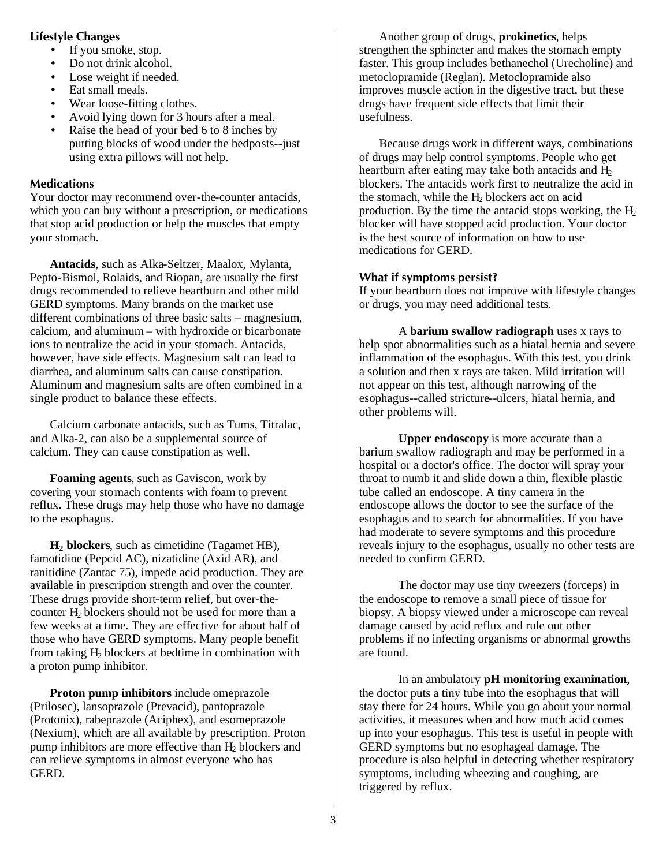#### **Lifestyle Changes**

- If you smoke, stop.
- Do not drink alcohol.
- Lose weight if needed.
- Eat small meals.
- Wear loose-fitting clothes.
- Avoid lying down for 3 hours after a meal.
- Raise the head of your bed 6 to 8 inches by putting blocks of wood under the bedposts--just using extra pillows will not help.

#### **Medications**

Your doctor may recommend over-the-counter antacids, which you can buy without a prescription, or medications that stop acid production or help the muscles that empty your stomach.

**Antacids**, such as Alka-Seltzer, Maalox, Mylanta, Pepto-Bismol, Rolaids, and Riopan, are usually the first drugs recommended to relieve heartburn and other mild GERD symptoms. Many brands on the market use different combinations of three basic salts – magnesium, calcium, and aluminum – with hydroxide or bicarbonate ions to neutralize the acid in your stomach. Antacids, however, have side effects. Magnesium salt can lead to diarrhea, and aluminum salts can cause constipation. Aluminum and magnesium salts are often combined in a single product to balance these effects.

Calcium carbonate antacids, such as Tums, Titralac, and Alka-2, can also be a supplemental source of calcium. They can cause constipation as well.

**Foaming agents**, such as Gaviscon, work by covering your stomach contents with foam to prevent reflux. These drugs may help those who have no damage to the esophagus.

**H2 blockers**, such as cimetidine (Tagamet HB), famotidine (Pepcid AC), nizatidine (Axid AR), and ranitidine (Zantac 75), impede acid production. They are available in prescription strength and over the counter. These drugs provide short-term relief, but over-thecounter H<sub>2</sub> blockers should not be used for more than a few weeks at a time. They are effective for about half of those who have GERD symptoms. Many people benefit from taking  $H_2$  blockers at bedtime in combination with a proton pump inhibitor.

**Proton pump inhibitors** include omeprazole (Prilosec), lansoprazole (Prevacid), pantoprazole (Protonix), rabeprazole (Aciphex), and esomeprazole (Nexium), which are all available by prescription. Proton pump inhibitors are more effective than H<sub>2</sub> blockers and can relieve symptoms in almost everyone who has GERD.

Another group of drugs, **prokinetics**, helps strengthen the sphincter and makes the stomach empty faster. This group includes bethanechol (Urecholine) and metoclopramide (Reglan). Metoclopramide also improves muscle action in the digestive tract, but these drugs have frequent side effects that limit their usefulness.

Because drugs work in different ways, combinations of drugs may help control symptoms. People who get heartburn after eating may take both antacids and H<sub>2</sub> blockers. The antacids work first to neutralize the acid in the stomach, while the  $H<sub>2</sub>$  blockers act on acid production. By the time the antacid stops working, the  $H_2$ blocker will have stopped acid production. Your doctor is the best source of information on how to use medications for GERD.

#### **What if symptoms persist?**

If your heartburn does not improve with lifestyle changes or drugs, you may need additional tests.

A **barium swallow radiograph** uses x rays to help spot abnormalities such as a hiatal hernia and severe inflammation of the esophagus. With this test, you drink a solution and then x rays are taken. Mild irritation will not appear on this test, although narrowing of the esophagus--called stricture--ulcers, hiatal hernia, and other problems will.

**Upper endoscopy** is more accurate than a barium swallow radiograph and may be performed in a hospital or a doctor's office. The doctor will spray your throat to numb it and slide down a thin, flexible plastic tube called an endoscope. A tiny camera in the endoscope allows the doctor to see the surface of the esophagus and to search for abnormalities. If you have had moderate to severe symptoms and this procedure reveals injury to the esophagus, usually no other tests are needed to confirm GERD.

The doctor may use tiny tweezers (forceps) in the endoscope to remove a small piece of tissue for biopsy. A biopsy viewed under a microscope can reveal damage caused by acid reflux and rule out other problems if no infecting organisms or abnormal growths are found.

In an ambulatory **pH monitoring examination**, the doctor puts a tiny tube into the esophagus that will stay there for 24 hours. While you go about your normal activities, it measures when and how much acid comes up into your esophagus. This test is useful in people with GERD symptoms but no esophageal damage. The procedure is also helpful in detecting whether respiratory symptoms, including wheezing and coughing, are triggered by reflux.